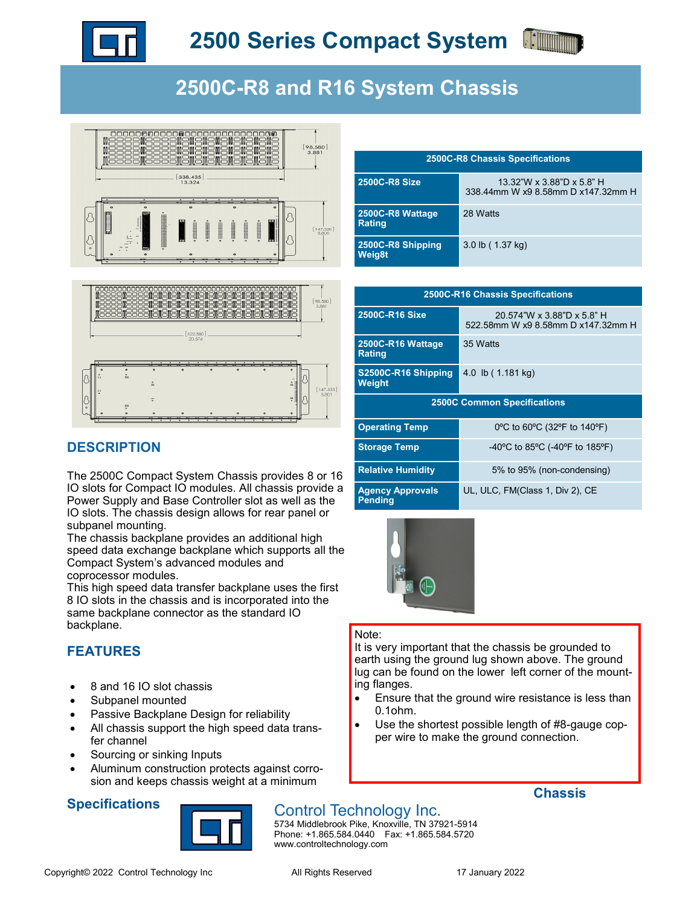

# **2500C-R8 and R16 System Chassis**



## **DESCRIPTION**

The 2500C Compact System Chassis provides 8 or 16 IO slots for Compact IO modules. All chassis provide a Power Supply and Base Controller slot as well as the IO slots. The chassis design allows for rear panel or subpanel mounting.

The chassis backplane provides an additional high speed data exchange backplane which supports all the Compact System's advanced modules and coprocessor modules.

This high speed data transfer backplane uses the first 8 IO slots in the chassis and is incorporated into the same backplane connector as the standard IO backplane.

## **FEATURES**

- 8 and 16 IO slot chassis
- Subpanel mounted
- Passive Backplane Design for reliability
- All chassis support the high speed data transfer channel
- Sourcing or sinking Inputs
- Aluminum construction protects against corrosion and keeps chassis weight at a minimum

## **Specifications**



## **Chassis**

5734 Middlebrook Pike, Knoxville, TN 37921-5914 Phone: +1.865.584.0440 Fax: +1.865.584.5720 www.controltechnology.com

| <b>2500C-R8 Chassis Specifications</b> |                                                                 |
|----------------------------------------|-----------------------------------------------------------------|
| <b>2500C-R8 Size</b>                   | 13.32"W x 3.88"D x 5.8" H<br>338.44mm W x9 8.58mm D x147.32mm H |
| 2500C-R8 Wattage<br>Rating             | 28 Watts                                                        |
| 2500C-R8 Shipping<br><b>Weig8t</b>     | 3.0 lb (1.37 kg)                                                |

| <b>2500C-R16 Chassis Specifications</b>   |                                                                  |
|-------------------------------------------|------------------------------------------------------------------|
| 2500C-R16 Sixe                            | 20.574"W x 3.88"D x 5.8" H<br>522.58mm W x9 8.58mm D x147.32mm H |
| 2500C-R16 Wattage<br><b>Rating</b>        | 35 Watts                                                         |
| S2500C-R16 Shipping<br><b>Weight</b>      | 4.0 lb (1.181 kg)                                                |
| <b>2500C Common Specifications</b>        |                                                                  |
| <b>Operating Temp</b>                     | 0°C to 60°C (32°F to 140°F)                                      |
| <b>Storage Temp</b>                       | -40°C to 85°C (-40°F to 185°F)                                   |
| <b>Relative Humidity</b>                  | 5% to 95% (non-condensing)                                       |
| <b>Agency Approvals</b><br><b>Pending</b> | UL, ULC, FM(Class 1, Div 2), CE                                  |



### Note:

It is very important that the chassis be grounded to earth using the ground lug shown above. The ground lug can be found on the lower left corner of the mounting flanges.

- Ensure that the ground wire resistance is less than 0.1ohm.
- Use the shortest possible length of #8-gauge copper wire to make the ground connection.

Control Technology Inc.